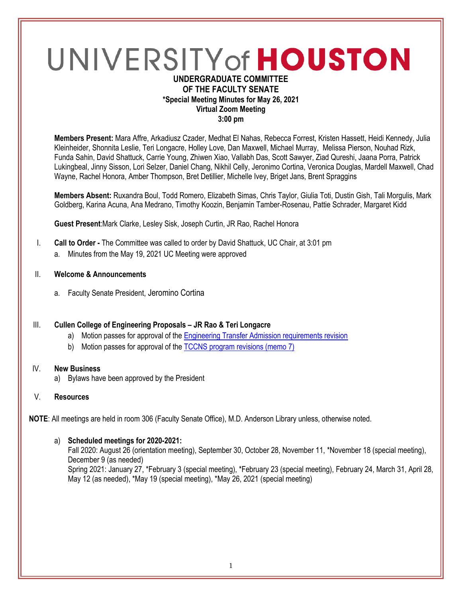# UNIVERSITY of HOUSTON **UNDERGRADUATE COMMITTEE**

# **OF THE FACULTY SENATE \*Special Meeting Minutes for May 26, 2021 Virtual Zoom Meeting 3:00 pm**

**Members Present:** Mara Affre, Arkadiusz Czader, Medhat El Nahas, Rebecca Forrest, Kristen Hassett, Heidi Kennedy, Julia Kleinheider, Shonnita Leslie, Teri Longacre, Holley Love, Dan Maxwell, Michael Murray, Melissa Pierson, Nouhad Rizk, Funda Sahin, David Shattuck, Carrie Young, Zhiwen Xiao, Vallabh Das, Scott Sawyer, Ziad Qureshi, Jaana Porra, Patrick Lukingbeal, Jinny Sisson, Lori Selzer, Daniel Chang, Nikhil Celly, Jeronimo Cortina, Veronica Douglas, Mardell Maxwell, Chad Wayne, Rachel Honora, Amber Thompson, Bret Detillier, Michelle Ivey, Briget Jans, Brent Spraggins

**Members Absent:** Ruxandra Boul, Todd Romero, Elizabeth Simas, Chris Taylor, Giulia Toti, Dustin Gish, Tali Morgulis, Mark Goldberg, Karina Acuna, Ana Medrano, Timothy Koozin, Benjamin Tamber-Rosenau, Pattie Schrader, Margaret Kidd

**Guest Present**:Mark Clarke, Lesley Sisk, Joseph Curtin, JR Rao, Rachel Honora

- I. **Call to Order -** The Committee was called to order by David Shattuck, UC Chair, at 3:01 pm
	- a. Minutes from the May 19, 2021 UC Meeting were approved
- II. **Welcome & Announcements**
	- a. Faculty Senate President, Jeromino Cortina

#### III. **Cullen College of Engineering Proposals – JR Rao & Teri Longacre**

- a) Motion passes for approval of the [Engineering Transfer Admission requirements revision](https://uofh.sharepoint.com/sites/uc/Lists/ProposalSubmissionAndTracking/DispForm.aspx?ID=2436&ct=1622042225144&or=OWA-NT&cid=fc11483a-3df2-73fb-95f3-e6a280284070&originalPath=aHR0cHM6Ly91b2ZoLnNoYXJlcG9pbnQuY29tLzpsaTovcy91Yy9FMDZUVGM3enJyeEZnbDVCUHVCWFZwTUJfUGdReEhFLUxLLVJqckFWSDdhcFRBP3J0aW1lPXpaeDJWRmtnMlVn)
- b) Motion passes for approval of the [TCCNS program revisions \(memo 7\)](https://uofh.sharepoint.com/sites/uc/Lists/ProposalSubmissionAndTracking/DispForm.aspx?ID=2312&ct=1622042283930&or=OWA-NT&cid=3c96cf10-88a9-d56a-6b58-177ea9991ab8&originalPath=aHR0cHM6Ly91b2ZoLnNoYXJlcG9pbnQuY29tLzpsaTovcy91Yy9FejFCYzJrVjhnbERvY1liY2lETHRwTUJNN0VXRXVuZDVOc2hydTc0OGlnUzJ3P3J0aW1lPTZqQjJkVmtnMlVn)

#### IV. **New Business**

- a) Bylaws have been approved by the President
- V. **Resources**

**NOTE**: All meetings are held in room 306 (Faculty Senate Office), M.D. Anderson Library unless, otherwise noted.

#### a) **Scheduled meetings for 2020-2021:**

Fall 2020: August 26 (orientation meeting), September 30, October 28, November 11, \*November 18 (special meeting), December 9 (as needed) Spring 2021: January 27, \*February 3 (special meeting), \*February 23 (special meeting), February 24, March 31, April 28, May 12 (as needed), \*May 19 (special meeting), \*May 26, 2021 (special meeting)